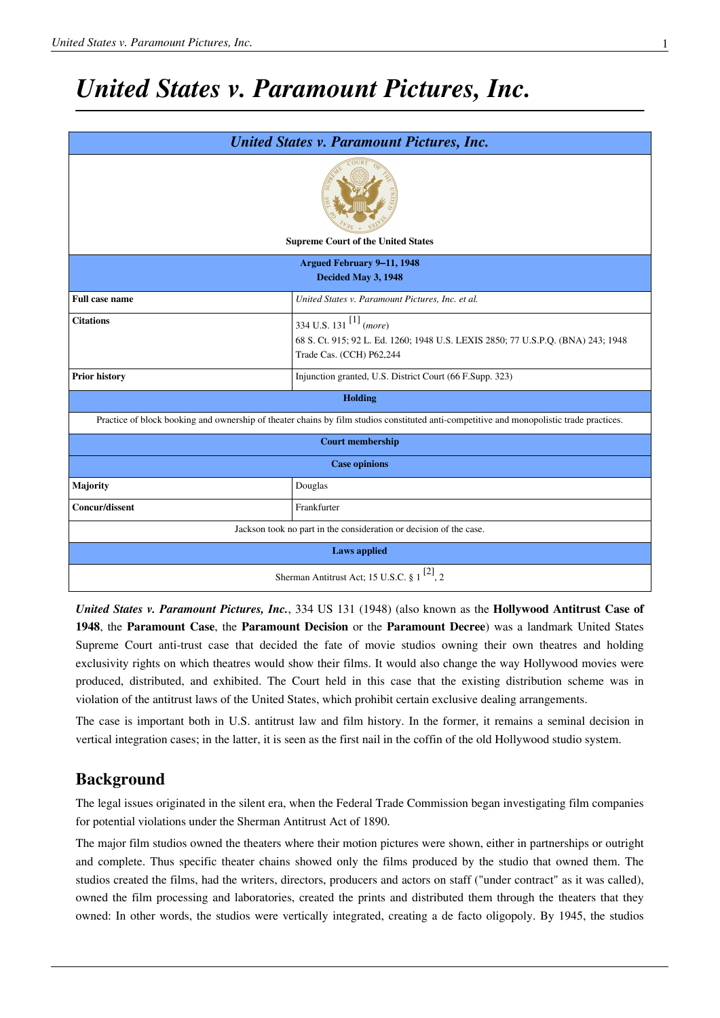## *United States v. Paramount Pictures, Inc.*

| <b>United States v. Paramount Pictures, Inc.</b>                                                                                         |                                                                                                                                                             |
|------------------------------------------------------------------------------------------------------------------------------------------|-------------------------------------------------------------------------------------------------------------------------------------------------------------|
| <b>Supreme Court of the United States</b>                                                                                                |                                                                                                                                                             |
| <b>Argued February 9-11, 1948</b>                                                                                                        |                                                                                                                                                             |
| Decided May 3, 1948                                                                                                                      |                                                                                                                                                             |
| <b>Full case name</b>                                                                                                                    | United States v. Paramount Pictures, Inc. et al.                                                                                                            |
| <b>Citations</b>                                                                                                                         | 334 U.S. 131 <sup>[1]</sup> ( <i>more</i> )<br>68 S. Ct. 915; 92 L. Ed. 1260; 1948 U.S. LEXIS 2850; 77 U.S.P.Q. (BNA) 243; 1948<br>Trade Cas. (CCH) P62,244 |
| <b>Prior history</b>                                                                                                                     | Injunction granted, U.S. District Court (66 F.Supp. 323)                                                                                                    |
| <b>Holding</b>                                                                                                                           |                                                                                                                                                             |
| Practice of block booking and ownership of theater chains by film studios constituted anti-competitive and monopolistic trade practices. |                                                                                                                                                             |
| <b>Court membership</b>                                                                                                                  |                                                                                                                                                             |
| <b>Case opinions</b>                                                                                                                     |                                                                                                                                                             |
| <b>Majority</b>                                                                                                                          | Douglas                                                                                                                                                     |
| <b>Concur/dissent</b>                                                                                                                    | Frankfurter                                                                                                                                                 |
| Jackson took no part in the consideration or decision of the case.                                                                       |                                                                                                                                                             |
| <b>Laws</b> applied                                                                                                                      |                                                                                                                                                             |
| Sherman Antitrust Act; 15 U.S.C. § 1 <sup>[2]</sup> , 2                                                                                  |                                                                                                                                                             |

*United States v. [Paramount Pictures](http://en.wikipedia.org/w/index.php?title=Paramount_Pictures), Inc.*, [334 US 131](http://en.wikipedia.org/w/index.php?title=Case_citation) (1948) (also known as the **Hollywood Antitrust Case of 1948**, the **Paramount Case**, the **Paramount Decision** or the **Paramount Decree**) was a landmark [United States](http://en.wikipedia.org/w/index.php?title=United_States_Supreme_Court) [Supreme Court](http://en.wikipedia.org/w/index.php?title=United_States_Supreme_Court) anti-trust case that decided the fate of movie studios owning their own theatres and holding exclusivity rights on which theatres would show their films. It would also change the way Hollywood movies were produced, [distributed](http://en.wikipedia.org/w/index.php?title=Distribution_%28film%29), and exhibited. The Court held in this case that the existing distribution scheme was in violation of the [antitrust l](http://en.wikipedia.org/w/index.php?title=Antitrust)aws of the [United States,](http://en.wikipedia.org/w/index.php?title=United_States) which prohibit certain exclusive dealing arrangements.

The case is important both in [U.S. antitrust law a](http://en.wikipedia.org/w/index.php?title=Antitrust%23History_of_antitrust_in_the_United_States)nd film history. In the former, it remains a seminal decision in [vertical integration](http://en.wikipedia.org/w/index.php?title=Vertical_integration) cases; in the latter, it is seen as the first nail in the coffin of the old Hollywood [studio system.](http://en.wikipedia.org/w/index.php?title=Studio_system)

### **Background**

The legal issues originated in the silent era, when the [Federal Trade Commission b](http://en.wikipedia.org/w/index.php?title=Federal_Trade_Commission)egan investigating film companies for potential violations under the [Sherman Antitrust Act](http://en.wikipedia.org/w/index.php?title=Sherman_Antitrust_Act) of 1890.

The major film studios owned the theaters where their motion pictures were shown, either in partnerships or outright and complete. Thus specific theater chains showed only the films produced by the studio that owned them. The studios created the films, had the writers, directors, producers and actors on staff ("under contract" as it was called), owned the film processing and laboratories, created the prints and distributed them through the theaters that they owned: In other words, the studios were [vertically integrated](http://en.wikipedia.org/w/index.php?title=Vertical_integration), creating a de facto [oligopoly.](http://en.wikipedia.org/w/index.php?title=Oligopoly) By 1945, the studios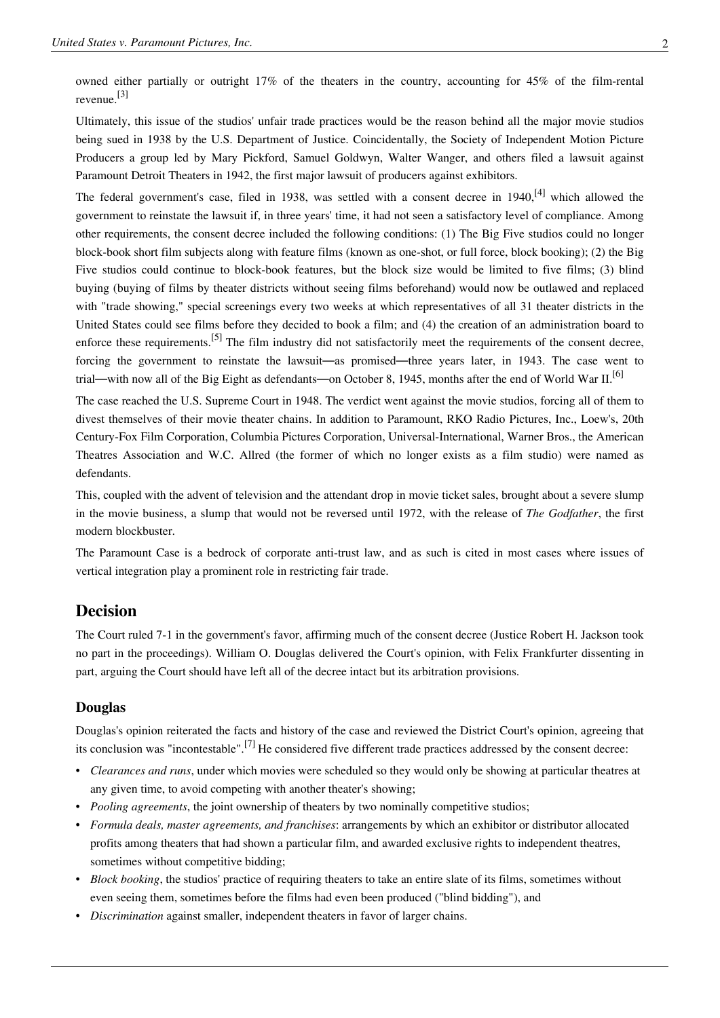owned either partially or outright 17% of the theaters in the country, accounting for 45% of the film-rental revenue. [3]

Ultimately, this issue of the studios' unfair trade practices would be the reason behind all the major movie studios being sued in 1938 by the [U.S. Department of Justice.](http://en.wikipedia.org/w/index.php?title=United_States_Department_of_Justice) Coincidentally, the [Society of Independent Motion Picture](http://en.wikipedia.org/w/index.php?title=Society_of_Independent_Motion_Picture_Producers) [Producers](http://en.wikipedia.org/w/index.php?title=Society_of_Independent_Motion_Picture_Producers) a group led by [Mary Pickford,](http://en.wikipedia.org/w/index.php?title=Mary_Pickford) [Samuel Goldwyn](http://en.wikipedia.org/w/index.php?title=Samuel_Goldwyn), [Walter Wanger](http://en.wikipedia.org/w/index.php?title=Walter_Wanger), and others filed a lawsuit against Paramount Detroit Theaters in 1942, the first major lawsuit of producers against exhibitors.

The federal government's case, filed in 1938, was settled with a [consent decree](http://en.wikipedia.org/w/index.php?title=Consent_decree) in 1940.<sup>[4]</sup> which allowed the government to reinstate the lawsuit if, in three years' time, it had not seen a satisfactory level of compliance. Among other requirements, the consent decree included the following conditions: (1) The Big Five studios could no longer block-book [short film s](http://en.wikipedia.org/w/index.php?title=Short_film)ubjects along with [feature films](http://en.wikipedia.org/w/index.php?title=Feature_film) (known as one-shot, or full force, [block booking](http://en.wikipedia.org/w/index.php?title=Block_booking)); (2) the Big Five studios could continue to block-book features, but the block size would be limited to five films; (3) blind buying (buying of films by theater districts without seeing films beforehand) would now be outlawed and replaced with "trade showing," special screenings every two weeks at which representatives of all 31 theater districts in the United States could see films before they decided to book a film; and (4) the creation of an administration board to enforce these requirements.<sup>[5]</sup> The film industry did not satisfactorily meet the requirements of the consent decree, forcing the government to reinstate the lawsuit—as promised—three years later, in 1943. The case went to trial—with now all of the [Big Eight a](http://en.wikipedia.org/w/index.php?title=Big_Eight)s defendants—on October 8, 1945, months after the end of [World War II](http://en.wikipedia.org/w/index.php?title=World_War_II).<sup>[6]</sup>

The case reached the [U.S. Supreme Court i](http://en.wikipedia.org/w/index.php?title=U.S._Supreme_Court)n 1948. The verdict went against the movie studios, forcing all of them to divest themselves of their movie theater chains. In addition to Paramount, [RKO Radio Pictures, Inc.,](http://en.wikipedia.org/w/index.php?title=RKO_Pictures) [Loew's,](http://en.wikipedia.org/w/index.php?title=Loew%27s) [20th](http://en.wikipedia.org/w/index.php?title=Twentieth_Century_Fox) [Century-Fox Film Corporation](http://en.wikipedia.org/w/index.php?title=Twentieth_Century_Fox), [Columbia Pictures Corporation](http://en.wikipedia.org/w/index.php?title=Columbia_Pictures), [Universal-International](http://en.wikipedia.org/w/index.php?title=Universal_Studios), [Warner Bros.](http://en.wikipedia.org/w/index.php?title=Warner_Bros.), the American Theatres Association and W.C. Allred (the former of which no longer exists as a film studio) were named as defendants.

This, coupled with the advent of television and the attendant drop in movie ticket sales, brought about a severe slump in the movie business, a slump that would not be reversed until 1972, with the release of *[The Godfather](http://en.wikipedia.org/w/index.php?title=The_Godfather)*, the first modern blockbuster.

The Paramount Case is a bedrock of corporate anti-trust law, and as such is cited in most cases where issues of vertical integration play a prominent role in restricting fair trade.

#### **Decision**

The Court ruled 7-1 in the government's favor, affirming much of the consent decree (Justice [Robert H. Jackson t](http://en.wikipedia.org/w/index.php?title=Robert_H._Jackson)ook no part in the proceedings). [William O. Douglas d](http://en.wikipedia.org/w/index.php?title=William_O._Douglas)elivered the Court's opinion, with [Felix Frankfurter](http://en.wikipedia.org/w/index.php?title=Felix_Frankfurter) dissenting in part, arguing the Court should have left all of the decree intact but its arbitration provisions.

#### **Douglas**

Douglas's opinion reiterated the facts and history of the case and reviewed the District Court's opinion, agreeing that its conclusion was "incontestable".[7] He considered five different trade practices addressed by the consent decree:

- *Clearances and runs*, under which movies were scheduled so they would only be showing at particular theatres at any given time, to avoid competing with another theater's showing;
- *Pooling agreements*, the joint ownership of theaters by two nominally competitive studios;
- *Formula deals, master agreements, and franchises*: arrangements by which an exhibitor or distributor allocated profits among theaters that had shown a particular film, and awarded exclusive rights to independent theatres, sometimes without competitive bidding;
- *[Block booking](http://en.wikipedia.org/w/index.php?title=Block_booking)*, the studios' practice of requiring theaters to take an entire slate of its films, sometimes without even seeing them, sometimes before the films had even been produced ("blind bidding"), and
- *Discrimination* against smaller, independent theaters in favor of larger chains.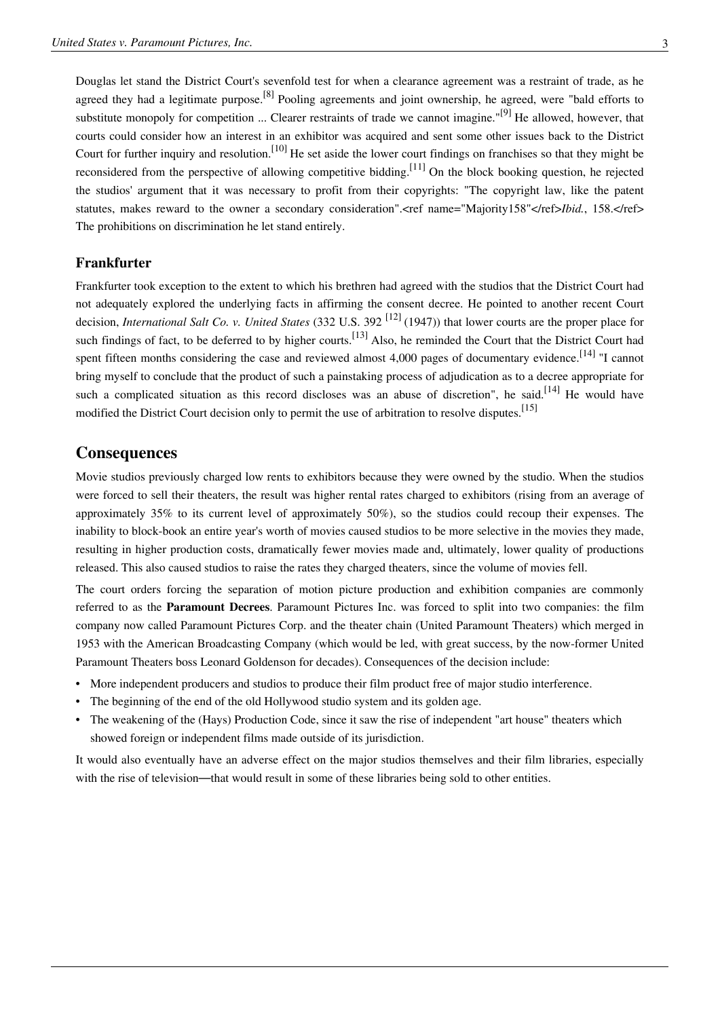Douglas let stand the District Court's sevenfold test for when a clearance agreement was a restraint of trade, as he agreed they had a legitimate purpose.<sup>[8]</sup> Pooling agreements and joint ownership, he agreed, were "bald efforts to substitute monopoly for competition ... Clearer restraints of trade we cannot imagine."<sup>[9]</sup> He allowed, however, that courts could consider how an interest in an exhibitor was acquired and sent some other issues back to the District Court for further inquiry and resolution.<sup>[10]</sup> He set aside the lower court findings on franchises so that they might be reconsidered from the perspective of allowing competitive bidding.<sup>[11]</sup> On the block booking question, he rejected the studios' argument that it was necessary to profit from their copyrights: "The copyright law, like the patent statutes, makes reward to the owner a secondary consideration".<ref name="Majority158"</ref>*Ibid.*, 158.</ref> The prohibitions on discrimination he let stand entirely.

#### **Frankfurter**

Frankfurter took exception to the extent to which his brethren had agreed with the studios that the District Court had not adequately explored the underlying facts in affirming the consent decree. He pointed to another recent Court decision, *[International Salt Co. v. United States](http://en.wikipedia.org/w/index.php?title=International_Salt_Co._v._United_States)* (332 [U.S. 3](http://en.wikipedia.org/w/index.php?title=United_States_Reports)92 [\[12\]](http://supreme.justia.com/us/332/392/case.html) (1947)) that lower courts are the proper place for such findings of fact, to be deferred to by higher courts.<sup>[13]</sup> Also, he reminded the Court that the District Court had spent fifteen months considering the case and reviewed almost 4,000 pages of documentary evidence.<sup>[14]</sup> "I cannot bring myself to conclude that the product of such a painstaking process of adjudication as to a decree appropriate for such a complicated situation as this record discloses was an abuse of discretion", he said.<sup>[14]</sup> He would have modified the District Court decision only to permit the use of [arbitration](http://en.wikipedia.org/w/index.php?title=Arbitration) to resolve disputes.<sup>[15]</sup>

#### **Consequences**

Movie studios previously charged low rents to exhibitors because they were owned by the studio. When the studios were forced to sell their theaters, the result was higher rental rates charged to exhibitors (rising from an average of approximately 35% to its current level of approximately 50%), so the studios could recoup their expenses. The inability to block-book an entire year's worth of movies caused studios to be more selective in the movies they made, resulting in higher production costs, dramatically fewer movies made and, ultimately, lower quality of productions released. This also caused studios to raise the rates they charged theaters, since the volume of movies fell.

The court orders forcing the separation of motion picture production and exhibition companies are commonly referred to as the **Paramount Decrees**. Paramount Pictures Inc. was forced to split into two companies: the film company now called [Paramount Pictures Corp.](http://en.wikipedia.org/w/index.php?title=Paramount_Pictures) and the theater chain [\(United Paramount Theaters](http://en.wikipedia.org/w/index.php?title=United_Paramount_Theaters)) which merged in 1953 with the [American Broadcasting Company](http://en.wikipedia.org/w/index.php?title=American_Broadcasting_Company) (which would be led, with great success, by the now-former United Paramount Theaters boss [Leonard Goldenson](http://en.wikipedia.org/w/index.php?title=Leonard_Goldenson) for decades). Consequences of the decision include:

- More independent producers and studios to produce their film product free of major studio interference.
- The beginning of the end of the old Hollywood [studio system](http://en.wikipedia.org/w/index.php?title=Studio_system) and its [golden age.](http://en.wikipedia.org/w/index.php?title=Classical_Hollywood_cinema)
- The weakening of the [\(Hays\)](http://en.wikipedia.org/w/index.php?title=Will_H._Hays) [Production Code](http://en.wikipedia.org/w/index.php?title=Production_Code), since it saw the rise of independent "art house" theaters which showed foreign or independent films made outside of its jurisdiction.

It would also eventually have an adverse effect on the major studios themselves and their film libraries, especially with the rise of television—that would result in some of these libraries being sold to other entities.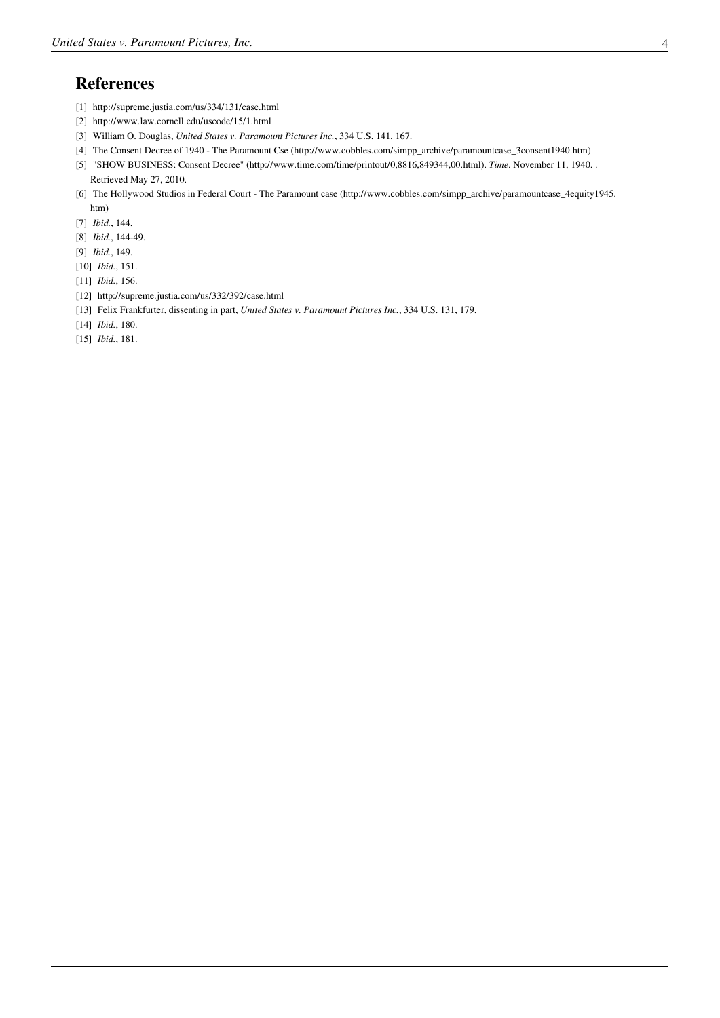#### **References**

- [1] <http://supreme.justia.com/us/334/131/case.html>
- [2] <http://www.law.cornell.edu/uscode/15/1.html>
- [3] [William O. Douglas](http://en.wikipedia.org/w/index.php?title=William_O._Douglas), *United States v. Paramount Pictures Inc.*, 334 U.S. 141, 167.
- [4] The Consent Decree of 1940 The Paramount Cse [\(http://www.cobbles.com/simpp\\_archive/paramountcase\\_3consent1940.htm\)](http://www.cobbles.com/simpp_archive/paramountcase_3consent1940.htm)
- [5] "SHOW BUSINESS: Consent Decree" [\(http://www.time.com/time/printout/0,8816,849344,00.html\)](http://www.time.com/time/printout/0,8816,849344,00.html). *Time*. November 11, 1940. . Retrieved May 27, 2010.
- [6] The Hollywood Studios in Federal Court The Paramount case [\(http://www.cobbles.com/simpp\\_archive/paramountcase\\_4equity1945.](http://www.cobbles.com/simpp_archive/paramountcase_4equity1945.htm) [htm\)](http://www.cobbles.com/simpp_archive/paramountcase_4equity1945.htm)
- [7] *Ibid.*, 144.
- [8] *Ibid.*, 144-49.
- [9] *Ibid.*, 149.
- [10] *Ibid.*, 151.
- [11] *Ibid.*, 156.
- [12] <http://supreme.justia.com/us/332/392/case.html>
- [13] [Felix Frankfurter,](http://en.wikipedia.org/w/index.php?title=Felix_Frankfurter) dissenting in part, *United States v. Paramount Pictures Inc.*, 334 U.S. 131, 179.
- [14] *Ibid.*, 180.
- [15] *Ibid.*, 181.